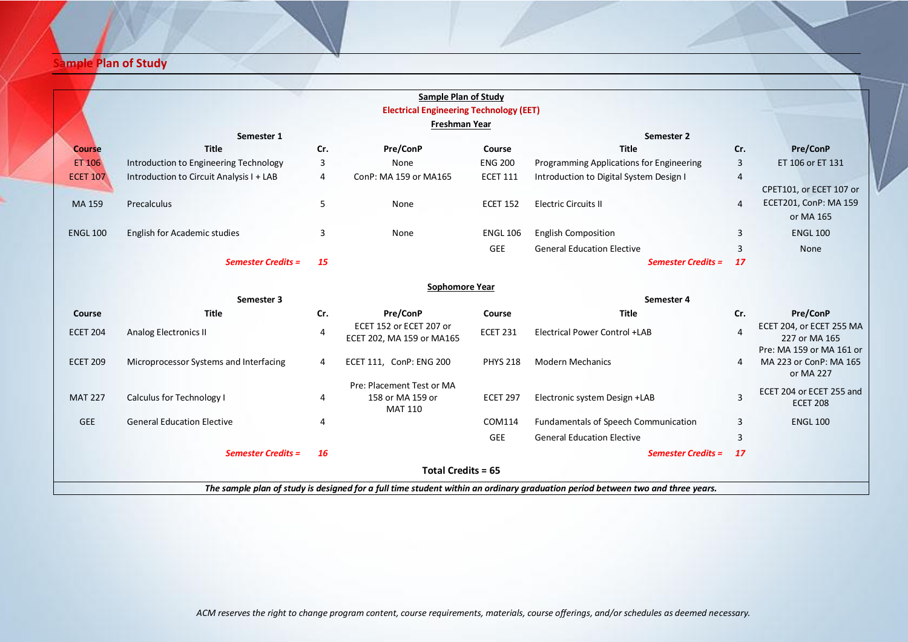## **<u>Ample Plan of Study</u>**

|                                                                                                                                |                                          |                | <b>Sample Plan of Study</b>                                     |                 |                                          |                |                                                                 |  |  |  |  |
|--------------------------------------------------------------------------------------------------------------------------------|------------------------------------------|----------------|-----------------------------------------------------------------|-----------------|------------------------------------------|----------------|-----------------------------------------------------------------|--|--|--|--|
|                                                                                                                                |                                          |                | <b>Electrical Engineering Technology (EET)</b>                  |                 |                                          |                |                                                                 |  |  |  |  |
|                                                                                                                                |                                          |                | Freshman Year                                                   |                 |                                          |                |                                                                 |  |  |  |  |
|                                                                                                                                | Semester 1                               |                |                                                                 |                 | Semester 2                               |                |                                                                 |  |  |  |  |
| <b>Course</b>                                                                                                                  | <b>Title</b>                             | Cr.            | Pre/ConP                                                        | Course          | <b>Title</b>                             | Cr.            | Pre/ConP                                                        |  |  |  |  |
| ET 106                                                                                                                         | Introduction to Engineering Technology   | 3              | None                                                            | <b>ENG 200</b>  | Programming Applications for Engineering | $\overline{3}$ | ET 106 or ET 131                                                |  |  |  |  |
| <b>ECET 107</b>                                                                                                                | Introduction to Circuit Analysis I + LAB | 4              | ConP: MA 159 or MA165                                           | <b>ECET 111</b> | Introduction to Digital System Design I  | 4              | CPET101, or ECET 107 or                                         |  |  |  |  |
| MA 159                                                                                                                         | Precalculus                              | 5              | None                                                            | <b>ECET 152</b> | <b>Electric Circuits II</b>              | 4              | ECET201, ConP: MA 159<br>or MA 165                              |  |  |  |  |
| <b>ENGL 100</b>                                                                                                                | <b>English for Academic studies</b>      | 3              | None                                                            | <b>ENGL 106</b> | <b>English Composition</b>               | 3              | <b>ENGL 100</b>                                                 |  |  |  |  |
|                                                                                                                                |                                          |                |                                                                 | <b>GEE</b>      | <b>General Education Elective</b>        | 3              | None                                                            |  |  |  |  |
|                                                                                                                                | <b>Semester Credits =</b>                | 15             |                                                                 |                 | <b>Semester Credits =</b>                | <b>17</b>      |                                                                 |  |  |  |  |
|                                                                                                                                |                                          |                |                                                                 |                 |                                          |                |                                                                 |  |  |  |  |
|                                                                                                                                |                                          |                | <b>Sophomore Year</b>                                           |                 |                                          |                |                                                                 |  |  |  |  |
|                                                                                                                                | Semester 3                               |                |                                                                 |                 | Semester 4                               |                |                                                                 |  |  |  |  |
| Course                                                                                                                         | <b>Title</b>                             | Cr.            | Pre/ConP                                                        | Course          | <b>Title</b>                             | Cr.            | Pre/ConP                                                        |  |  |  |  |
| <b>ECET 204</b>                                                                                                                | Analog Electronics II                    | $\overline{4}$ | ECET 152 or ECET 207 or<br>ECET 202, MA 159 or MA165            | <b>ECET 231</b> | Electrical Power Control +LAB            | 4              | ECET 204, or ECET 255 MA<br>227 or MA 165                       |  |  |  |  |
| <b>ECET 209</b>                                                                                                                | Microprocessor Systems and Interfacing   | 4              | ECET 111, ConP: ENG 200                                         | <b>PHYS 218</b> | <b>Modern Mechanics</b>                  | 4              | Pre: MA 159 or MA 161 or<br>MA 223 or ConP: MA 165<br>or MA 227 |  |  |  |  |
| <b>MAT 227</b>                                                                                                                 | Calculus for Technology I                | 4              | Pre: Placement Test or MA<br>158 or MA 159 or<br><b>MAT 110</b> | <b>ECET 297</b> | Electronic system Design +LAB            | 3              | ECET 204 or ECET 255 and<br><b>ECET 208</b>                     |  |  |  |  |
| <b>GEE</b>                                                                                                                     | <b>General Education Elective</b>        | 4              |                                                                 | COM114          | Fundamentals of Speech Communication     | 3              | <b>ENGL 100</b>                                                 |  |  |  |  |
|                                                                                                                                |                                          |                |                                                                 | GEE             | <b>General Education Elective</b>        | 3              |                                                                 |  |  |  |  |
|                                                                                                                                | <b>Semester Credits =</b>                | <b>16</b>      |                                                                 |                 | <b>Semester Credits =</b>                | <b>17</b>      |                                                                 |  |  |  |  |
| <b>Total Credits = 65</b>                                                                                                      |                                          |                |                                                                 |                 |                                          |                |                                                                 |  |  |  |  |
| The sample plan of study is designed for a full time student within an ordinary graduation period between two and three years. |                                          |                |                                                                 |                 |                                          |                |                                                                 |  |  |  |  |